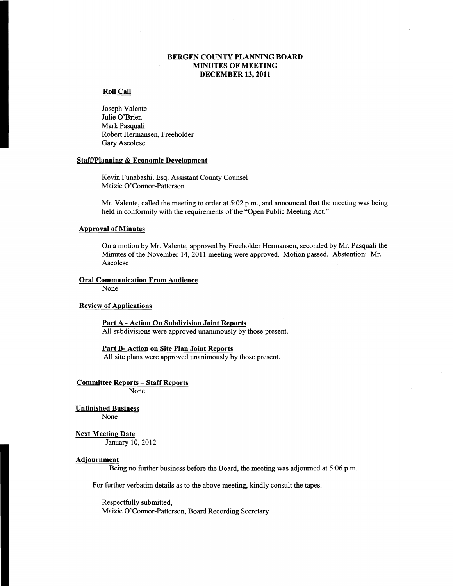## BERGEN COUNTY PLANNING BOARD MINUTES OF MEETING DECEMBER 13,2011

## Roll Call

Joseph Valente Julie O'Brien Mark Pasquali Robert Hermansen, Freeholder Gary Ascolese

#### Staff/Planning & Economic Development

Kevin Funabashi, Esq. Assistant County Counsel Maizie O'Connor-Patterson

Mr. Valente, called the meeting to order at 5:02 p.m., and announced that the meeting was being held in conformity with the requirements of the "Open Public Meeting Act."

## Approval of Minutes

On a motion by Mr. Valente, approved by Freeholder Hermansen, seconded by Mr. Pasquali the Minutes of the November 14, 2011 meeting were approved. Motion passed. Abstention: Mr. Ascolese

## Oral Communication From Audience

None

## Review of Applications

Part A - Action On Subdivision Joint Reports All subdivisions were approved unanimously by those present.

## Part B- Action on Site Plan Joint Reports

All site plans were approved unanimously by those present.

Committee Reports - Staff Reports

None

#### Unfinished Business

None

#### Next Meeting Date

January 10,2012

### Adjournment

Being no further business before the Board, the meeting was adjourned at 5:06 p.m.

For further verbatim details as to the above meeting, kindly consult the tapes.

Respectfully submitted, Maizie O'Connor-Patterson, Board Recording Secretary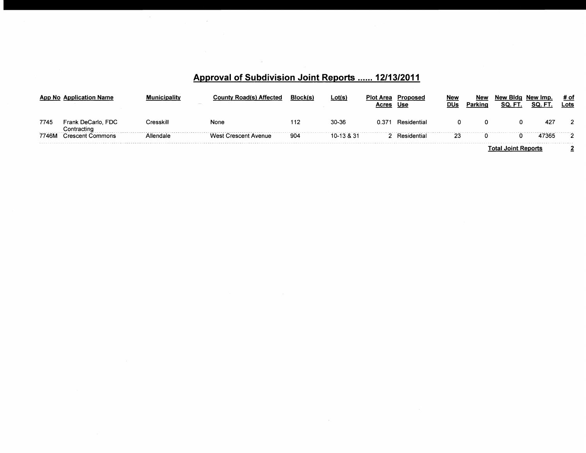# **Approval of Subdivision Joint Reports** ...... **12/13/2011**

 $\sim 10$ 

|                            |                                        | The Contract of        | ) Affected                | <b>Block</b> (s) | ∟ot(s)     | <b>Plot Area</b> | ∙roposed<br>Use | <b>New</b><br><b>DUs</b> | <b>Nev</b><br>Parking | New Bida<br>SQ.<br>. FI        | ' Imp. | # of<br>∟ots |
|----------------------------|----------------------------------------|------------------------|---------------------------|------------------|------------|------------------|-----------------|--------------------------|-----------------------|--------------------------------|--------|--------------|
| 7745                       | : DeCarlo, FDC<br>-rank<br>≿ontracting | Cresskill              | None                      |                  | 30-36      | 0.37             | Residential     |                          |                       |                                | -427   |              |
| -----------------<br>7746M | Commons<br>Crescent                    | <sup>^ Il</sup> endale | West<br>: Crescent Avenue | 904              | 10-13 & 31 |                  | Residential     | 23                       |                       |                                |        |              |
|                            |                                        |                        |                           |                  |            |                  |                 |                          |                       | <b>Joint Reports</b><br>. ota' |        |              |